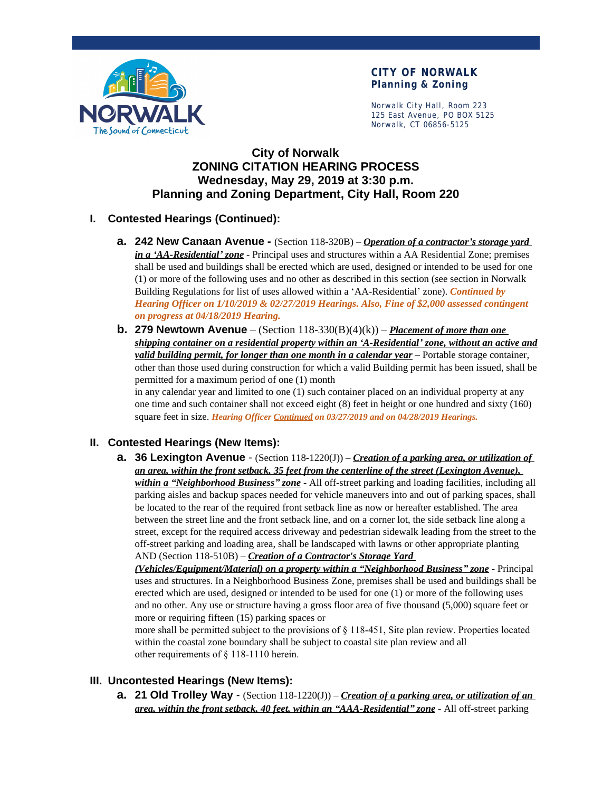

#### **CITY OF NORWALK Planning & Zoning**

Norwalk City Hall, Room 223 125 East Avenue, PO BOX 5125 Norwalk, CT 06856-5125

# **City of Norwalk ZONING CITATION HEARING PROCESS Wednesday, May 29, 2019 at 3:30 p.m. Planning and Zoning Department, City Hall, Room 220**

#### **I. Contested Hearings (Continued):**

- **a. 242 New Canaan Avenue -** (Section 118-320B) *Operation of a contractor's storage yard in a 'AA-Residential' zone* - Principal uses and structures within a AA Residential Zone; premises shall be used and buildings shall be erected which are used, designed or intended to be used for one (1) or more of the following uses and no other as described in this section (see section in Norwalk Building Regulations for list of uses allowed within a 'AA-Residential' zone). *Continued by Hearing Officer on 1/10/2019 & 02/27/2019 Hearings. Also, Fine of \$2,000 assessed contingent on progress at 04/18/2019 Hearing.*
- **b. 279 Newtown Avenue**  (Section 118-330(B)(4)(k)) *Placement of more than one shipping container on a residential property within an 'A-Residential' zone, without an active and valid building permit, for longer than one month in a calendar year* – Portable storage container, other than those used during construction for which a valid Building permit has been issued, shall be permitted for a maximum period of one (1) month

in any calendar year and limited to one (1) such container placed on an individual property at any one time and such container shall not exceed eight (8) feet in height or one hundred and sixty (160) square feet in size. *Hearing Officer Continued on 03/27/2019 and on 04/28/2019 Hearings.*

# **II. Contested Hearings (New Items):**

**a. 36 Lexington Avenue** - (Section 118-1220(J)) – *Creation of a parking area, or utilization of an area, within the front setback, 35 feet from the centerline of the street (Lexington Avenue), within a "Neighborhood Business" zone* - All off-street parking and loading facilities, including all parking aisles and backup spaces needed for vehicle maneuvers into and out of parking spaces, shall be located to the rear of the required front setback line as now or hereafter established. The area between the street line and the front setback line, and on a corner lot, the side setback line along a street, except for the required access driveway and pedestrian sidewalk leading from the street to the off-street parking and loading area, shall be landscaped with lawns or other appropriate planting AND (Section 118-510B) – *Creation of a Contractor's Storage Yard* 

*(Vehicles/Equipment/Material) on a property within a "Neighborhood Business" zone* - Principal uses and structures. In a Neighborhood Business Zone, premises shall be used and buildings shall be erected which are used, designed or intended to be used for one (1) or more of the following uses and no other. Any use or structure having a gross floor area of five thousand (5,000) square feet or more or requiring fifteen (15) parking spaces or

more shall be permitted subject to the provisions of § 118-451, Site plan review. Properties located within the coastal zone boundary shall be subject to coastal site plan review and all other requirements of § 118-1110 herein.

# **III. Uncontested Hearings (New Items):**

**a. 21 Old Trolley Way** - (Section 118-1220(J)) – *Creation of a parking area, or utilization of an area, within the front setback, 40 feet, within an "AAA-Residential" zone* - All off-street parking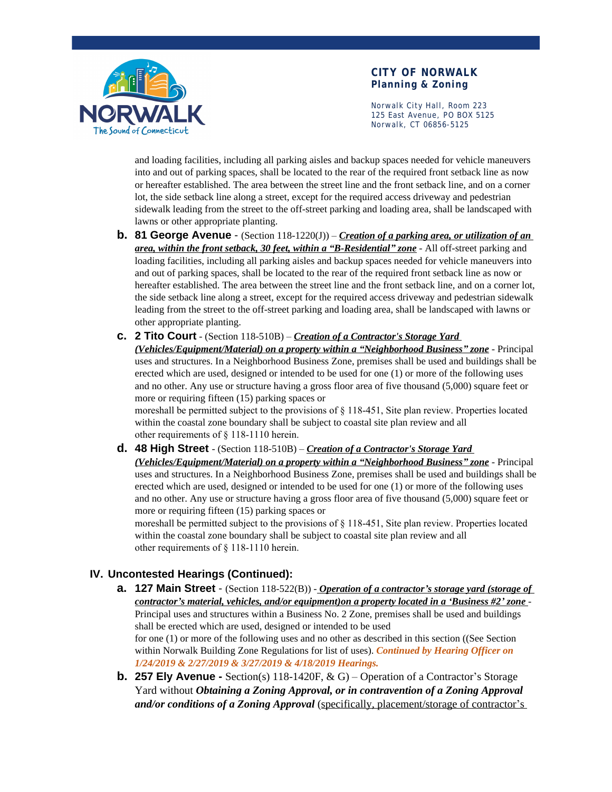

#### **CITY OF NORWALK Planning & Zoning**

Norwalk City Hall, Room 223 125 East Avenue, PO BOX 5125 Norwalk, CT 06856-5125

and loading facilities, including all parking aisles and backup spaces needed for vehicle maneuvers into and out of parking spaces, shall be located to the rear of the required front setback line as now or hereafter established. The area between the street line and the front setback line, and on a corner lot, the side setback line along a street, except for the required access driveway and pedestrian sidewalk leading from the street to the off-street parking and loading area, shall be landscaped with lawns or other appropriate planting.

- **b. 81 George Avenue**  (Section 118-1220(J)) *Creation of a parking area, or utilization of an area, within the front setback, 30 feet, within a "B-Residential" zone* - All off-street parking and loading facilities, including all parking aisles and backup spaces needed for vehicle maneuvers into and out of parking spaces, shall be located to the rear of the required front setback line as now or hereafter established. The area between the street line and the front setback line, and on a corner lot, the side setback line along a street, except for the required access driveway and pedestrian sidewalk leading from the street to the off-street parking and loading area, shall be landscaped with lawns or other appropriate planting.
- **c. 2 Tito Court** (Section 118-510B) *Creation of a Contractor's Storage Yard*

*(Vehicles/Equipment/Material) on a property within a "Neighborhood Business" zone* - Principal uses and structures. In a Neighborhood Business Zone, premises shall be used and buildings shall be erected which are used, designed or intended to be used for one (1) or more of the following uses and no other. Any use or structure having a gross floor area of five thousand (5,000) square feet or more or requiring fifteen (15) parking spaces or

moreshall be permitted subject to the provisions of § 118-451, Site plan review. Properties located within the coastal zone boundary shall be subject to coastal site plan review and all other requirements of § 118-1110 herein.

**d. 48 High Street** - (Section 118-510B) – *Creation of a Contractor's Storage Yard (Vehicles/Equipment/Material) on a property within a "Neighborhood Business" zone* - Principal uses and structures. In a Neighborhood Business Zone, premises shall be used and buildings shall be erected which are used, designed or intended to be used for one (1) or more of the following uses and no other. Any use or structure having a gross floor area of five thousand (5,000) square feet or more or requiring fifteen (15) parking spaces or

moreshall be permitted subject to the provisions of § 118-451, Site plan review. Properties located within the coastal zone boundary shall be subject to coastal site plan review and all other requirements of § 118-1110 herein.

# **IV. Uncontested Hearings (Continued):**

- **a. 127 Main Street**  (Section 118-522(B)) *Operation of a contractor's storage yard (storage of contractor's material, vehicles, and/or equipment)on a property located in a 'Business #2' zone* - Principal uses and structures within a Business No. 2 Zone, premises shall be used and buildings shall be erected which are used, designed or intended to be used for one (1) or more of the following uses and no other as described in this section ((See Section within Norwalk Building Zone Regulations for list of uses). *Continued by Hearing Officer on 1/24/2019 & 2/27/2019 & 3/27/2019 & 4/18/2019 Hearings.*
- **b. 257 Ely Avenue -** Section(s) 118-1420F, & G) Operation of a Contractor's Storage Yard without *Obtaining a Zoning Approval, or in contravention of a Zoning Approval and/or conditions of a Zoning Approval* (specifically, placement/storage of contractor's